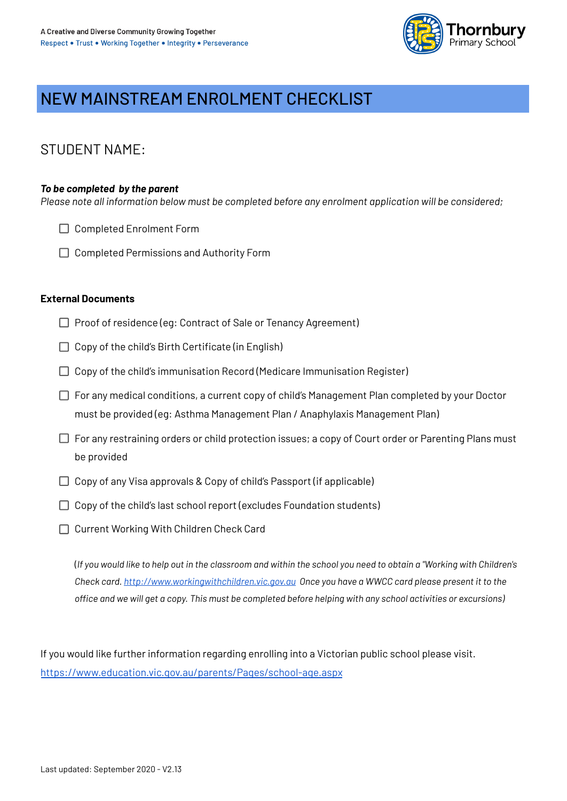

## NEW MAINSTREAM ENROLMENT CHECKLIST

### **STUDENT NAME:**

### To be completed by the parent

Please note all information below must be completed before any enrolment application will be considered;

- $\Box$  Completed Enrolment Form
- $\Box$  Completed Permissions and Authority Form

### **External Documents**

- $\Box$  Proof of residence (eq: Contract of Sale or Tenancy Agreement)
- $\Box$  Copy of the child's Birth Certificate (in English)
- $\Box$  Copy of the child's immunisation Record (Medicare Immunisation Register)
- $\Box$  For any medical conditions, a current copy of child's Management Plan completed by your Doctor must be provided (eq: Asthma Management Plan / Anaphylaxis Management Plan)
- $\Box$  For any restraining orders or child protection issues; a copy of Court order or Parenting Plans must be provided
- $\Box$  Copy of any Visa approvals & Copy of child's Passport (if applicable)
- $\Box$  Copy of the child's last school report (excludes Foundation students)
- □ Current Working With Children Check Card

(If you would like to help out in the classroom and within the school you need to obtain a "Working with Children's Check card. http://www.workingwithchildren.vic.gov.gu Once you have a WWCC card please present it to the office and we will get a copy. This must be completed before helping with any school activities or excursions)

If you would like further information regarding enrolling into a Victorian public school please visit. https://www.education.vic.gov.au/parents/Pages/school-age.aspx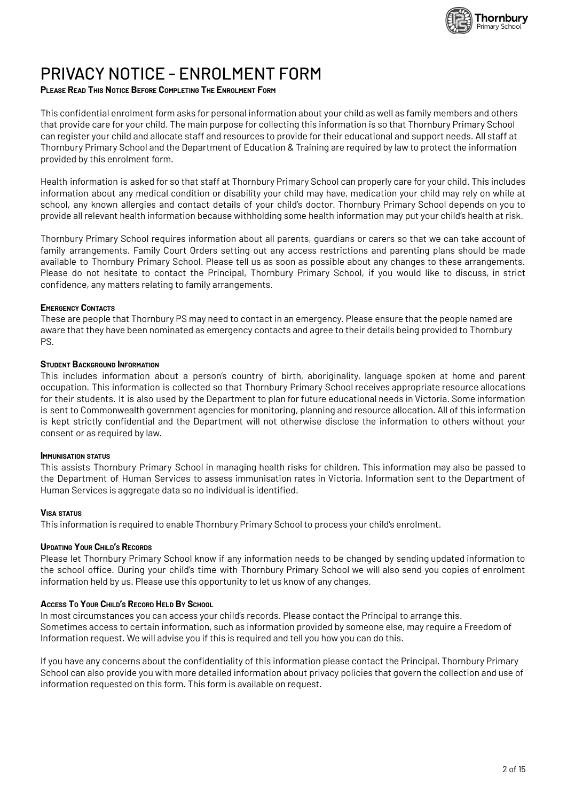

## PRIVACY NOTICE - FNROI MENT FORM

### PLEASE READ THIS NOTICE BEFORE COMPLETING THE ENROLMENT FORM

This confidential enrolment form asks for personal information about your child as well as family members and others that provide care for your child. The main purpose for collecting this information is so that Thornbury Primary School can register your child and allocate staff and resources to provide for their educational and support needs. All staff at Thornbury Primary School and the Department of Education & Training are required by law to protect the information provided by this enrolment form.

Health information is asked for so that staff at Thornbury Primary School can properly care for your child. This includes information about any medical condition or disability your child may have, medication your child may rely on while at school, any known allergies and contact details of your child's doctor. Thornbury Primary School depends on you to provide all relevant health information because withholding some health information may put your child's health at risk.

Thornbury Primary School requires information about all parents, guardians or carers so that we can take account of family arrangements. Family Court Orders setting out any access restrictions and parenting plans should be made available to Thornbury Primary School. Please tell us as soon as possible about any changes to these arrangements. Please do not hesitate to contact the Principal, Thornbury Primary School, if you would like to discuss, in strict confidence, any matters relating to family arrangements.

#### **EMERGENCY CONTACTS**

These are people that Thornbury PS may need to contact in an emergency. Please ensure that the people named are aware that they have been nominated as emergency contacts and agree to their details being provided to Thornbury PS.

#### **STUDENT BACKGROUND INFORMATION**

This includes information about a person's country of birth, aboriginality, language spoken at home and parent occupation. This information is collected so that Thornbury Primary School receives appropriate resource allocations for their students. It is also used by the Department to plan for future educational needs in Victoria. Some information is sent to Commonwealth government agencies for monitoring, planning and resource allocation. All of this information is kept strictly confidential and the Department will not otherwise disclose the information to others without your consent or as required by law.

#### **IMMUNISATION STATUS**

This assists Thornbury Primary School in managing health risks for children. This information may also be passed to the Department of Human Services to assess immunisation rates in Victoria. Information sent to the Department of Human Services is aggregate data so no individual is identified.

#### **VISA STATUS**

This information is required to enable Thornbury Primary School to process your child's enrolment.

#### **UPDATING YOUR CHILD'S RECORDS**

Please let Thornbury Primary School know if any information needs to be changed by sending updated information to the school office. During your child's time with Thornbury Primary School we will also send you copies of enrolment information held by us. Please use this opportunity to let us know of any changes.

#### ACCESS TO YOUR CHILD'S RECORD HELD BY SCHOOL

In most circumstances you can access your child's records. Please contact the Principal to arrange this. Sometimes access to certain information, such as information provided by someone else, may require a Freedom of Information request. We will advise you if this is required and tell you how you can do this.

If you have any concerns about the confidentiality of this information please contact the Principal. Thornbury Primary School can also provide you with more detailed information about privacy policies that govern the collection and use of information requested on this form. This form is available on request.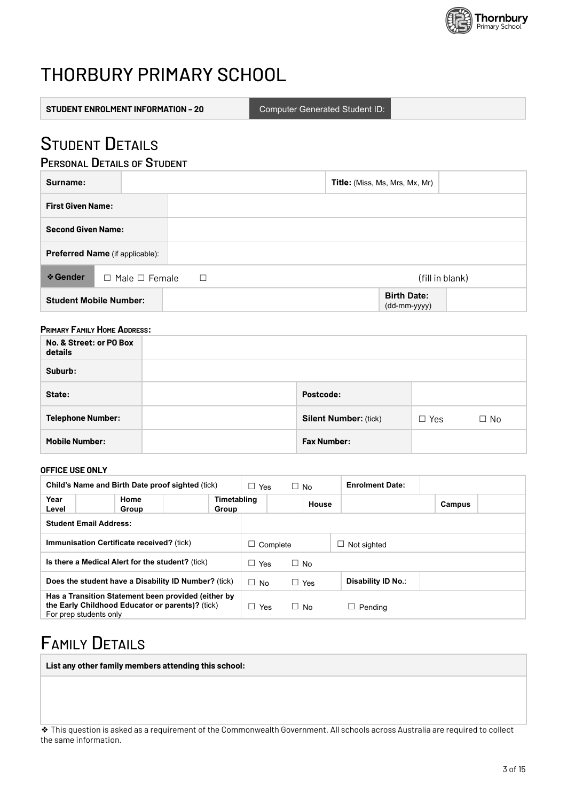

# THORBURY PRIMARY SCHOOL

**Computer Generated Student ID:** 

## **STUDENT DETAILS**

### **PERSONAL DETAILS OF STUDENT**

| Surname:                  |                                 |        | Title: (Miss, Ms, Mrs, Mx, Mr)     |                 |
|---------------------------|---------------------------------|--------|------------------------------------|-----------------|
| <b>First Given Name:</b>  |                                 |        |                                    |                 |
| <b>Second Given Name:</b> |                                 |        |                                    |                 |
|                           | Preferred Name (if applicable): |        |                                    |                 |
| <b>❖ Gender</b>           | $\Box$ Male $\Box$ Female       | $\Box$ |                                    | (fill in blank) |
|                           | <b>Student Mobile Number:</b>   |        | <b>Birth Date:</b><br>(dd-mm-yyyy) |                 |

### **PRIMARY FAMILY HOME ADDRESS:**

| No. & Street: or PO Box<br>details |                              |            |           |
|------------------------------------|------------------------------|------------|-----------|
| Suburb:                            |                              |            |           |
| State:                             | Postcode:                    |            |           |
| <b>Telephone Number:</b>           | <b>Silent Number: (tick)</b> | $\Box$ Yes | $\Box$ No |
| <b>Mobile Number:</b>              | <b>Fax Number:</b>           |            |           |

#### OFFICE USE ONLY

| Child's Name and Birth Date proof sighted (tick)                                                                                  |               |  | Yes<br>□<br>$\Box$ No |                | <b>Enrolment Date:</b> |                    |                    |        |  |
|-----------------------------------------------------------------------------------------------------------------------------------|---------------|--|-----------------------|----------------|------------------------|--------------------|--------------------|--------|--|
| Year<br>Level                                                                                                                     | Home<br>Group |  | Timetabling<br>Group  |                |                        | House              |                    | Campus |  |
| <b>Student Email Address:</b>                                                                                                     |               |  |                       |                |                        |                    |                    |        |  |
| <b>Immunisation Certificate received?</b> (tick)                                                                                  |               |  | ப                     | Complete       |                        | $\Box$ Not sighted |                    |        |  |
| Is there a Medical Alert for the student? (tick)                                                                                  |               |  | $\Box$ Yes            |                | $\Box$ No              |                    |                    |        |  |
| Does the student have a Disability ID Number? (tick)                                                                              |               |  |                       | $\Box$ No      |                        | $\Box$ Yes         | Disability ID No.: |        |  |
| Has a Transition Statement been provided (either by<br>the Early Childhood Educator or parents)? (tick)<br>For prep students only |               |  |                       | $\perp$<br>Yes |                        | $\Box$ No          | Pendina            |        |  |

## **FAMILY DETAILS**

List any other family members attending this school:

❖ This question is asked as a requirement of the Commonwealth Government. All schools across Australia are required to collect the same information.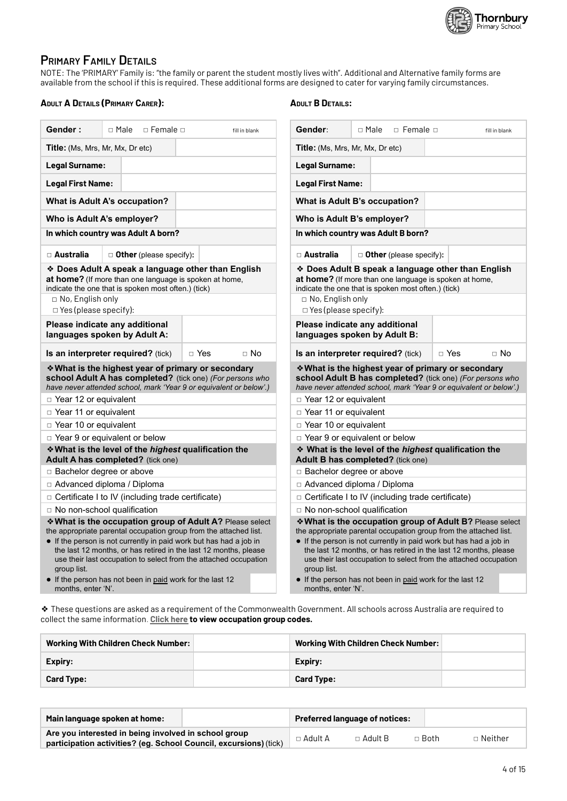

### **PRIMARY FAMILY DETAILS**

NOTE: The 'PRIMARY' Family is: "the family or parent the student mostly lives with". Additional and Alternative family forms are<br>available from the school if this is required. These additional forms are designed to cater f

#### **ADULT A DETAILS (PRIMARY CARER):**

### **ADULT B DETAILS:**

| Gender:                                                                                                                                                                                                                                                                                                                                                                                                                                       | $\Box$ Female $\Box$<br>□ Male                                                            | fill in blank                                                                                                                   | Gender:                                                                                                                                                                                                                                                                                                                                                                                                                                       | □ Male<br>$\Box$ Female $\Box$                           | fill in blank      |  |  |
|-----------------------------------------------------------------------------------------------------------------------------------------------------------------------------------------------------------------------------------------------------------------------------------------------------------------------------------------------------------------------------------------------------------------------------------------------|-------------------------------------------------------------------------------------------|---------------------------------------------------------------------------------------------------------------------------------|-----------------------------------------------------------------------------------------------------------------------------------------------------------------------------------------------------------------------------------------------------------------------------------------------------------------------------------------------------------------------------------------------------------------------------------------------|----------------------------------------------------------|--------------------|--|--|
| Title: (Ms, Mrs, Mr, Mx, Dr etc)                                                                                                                                                                                                                                                                                                                                                                                                              |                                                                                           |                                                                                                                                 | Title: (Ms, Mrs, Mr, Mx, Dr etc)                                                                                                                                                                                                                                                                                                                                                                                                              |                                                          |                    |  |  |
| Legal Surname:                                                                                                                                                                                                                                                                                                                                                                                                                                |                                                                                           |                                                                                                                                 | Legal Surname:                                                                                                                                                                                                                                                                                                                                                                                                                                |                                                          |                    |  |  |
| <b>Legal First Name:</b>                                                                                                                                                                                                                                                                                                                                                                                                                      |                                                                                           |                                                                                                                                 | <b>Legal First Name:</b>                                                                                                                                                                                                                                                                                                                                                                                                                      |                                                          |                    |  |  |
|                                                                                                                                                                                                                                                                                                                                                                                                                                               | What is Adult A's occupation?                                                             |                                                                                                                                 |                                                                                                                                                                                                                                                                                                                                                                                                                                               | What is Adult B's occupation?                            |                    |  |  |
|                                                                                                                                                                                                                                                                                                                                                                                                                                               | Who is Adult A's employer?                                                                |                                                                                                                                 |                                                                                                                                                                                                                                                                                                                                                                                                                                               | Who is Adult B's employer?                               |                    |  |  |
|                                                                                                                                                                                                                                                                                                                                                                                                                                               | In which country was Adult A born?                                                        |                                                                                                                                 |                                                                                                                                                                                                                                                                                                                                                                                                                                               | In which country was Adult B born?                       |                    |  |  |
| □ Australia                                                                                                                                                                                                                                                                                                                                                                                                                                   | $\Box$ Other (please specify):                                                            |                                                                                                                                 | □ Australia                                                                                                                                                                                                                                                                                                                                                                                                                                   | $\Box$ Other (please specify):                           |                    |  |  |
| * Does Adult A speak a language other than English<br>at home? (If more than one language is spoken at home,<br>indicate the one that is spoken most often.) (tick)<br>$\Box$ No, English only<br>$\Box$ No, English only                                                                                                                                                                                                                     |                                                                                           |                                                                                                                                 | ❖ Does Adult B speak a language other than English<br><b>at home?</b> (If more than one language is spoken at home,<br>indicate the one that is spoken most often.) (tick)                                                                                                                                                                                                                                                                    |                                                          |                    |  |  |
| $\Box$ Yes (please specify):                                                                                                                                                                                                                                                                                                                                                                                                                  |                                                                                           |                                                                                                                                 | $\Box$ Yes (please specify):                                                                                                                                                                                                                                                                                                                                                                                                                  |                                                          |                    |  |  |
|                                                                                                                                                                                                                                                                                                                                                                                                                                               | Please indicate any additional<br>languages spoken by Adult A:                            |                                                                                                                                 | Please indicate any additional<br>languages spoken by Adult B:                                                                                                                                                                                                                                                                                                                                                                                |                                                          |                    |  |  |
|                                                                                                                                                                                                                                                                                                                                                                                                                                               | <b>Is an interpreter required?</b> (tick)                                                 | $\Box$ No<br>□ Yes                                                                                                              |                                                                                                                                                                                                                                                                                                                                                                                                                                               | <b>Is an interpreter required?</b> (tick)                | □ Yes<br>$\Box$ No |  |  |
|                                                                                                                                                                                                                                                                                                                                                                                                                                               | * What is the highest year of primary or secondary                                        | school Adult A has completed? (tick one) (For persons who<br>have never attended school, mark 'Year 9 or equivalent or below'.) | * What is the highest year of primary or secondary<br>school Adult B has completed? (tick one) (For persons who<br>have never attended school, mark 'Year 9 or equivalent or below'.)                                                                                                                                                                                                                                                         |                                                          |                    |  |  |
| $\Box$ Year 12 or equivalent                                                                                                                                                                                                                                                                                                                                                                                                                  |                                                                                           |                                                                                                                                 | □ Year 12 or equivalent                                                                                                                                                                                                                                                                                                                                                                                                                       |                                                          |                    |  |  |
| □ Year 11 or equivalent                                                                                                                                                                                                                                                                                                                                                                                                                       |                                                                                           |                                                                                                                                 | □ Year 11 or equivalent                                                                                                                                                                                                                                                                                                                                                                                                                       |                                                          |                    |  |  |
| □ Year 10 or equivalent                                                                                                                                                                                                                                                                                                                                                                                                                       |                                                                                           |                                                                                                                                 | □ Year 10 or equivalent                                                                                                                                                                                                                                                                                                                                                                                                                       |                                                          |                    |  |  |
|                                                                                                                                                                                                                                                                                                                                                                                                                                               | □ Year 9 or equivalent or below                                                           |                                                                                                                                 |                                                                                                                                                                                                                                                                                                                                                                                                                                               | □ Year 9 or equivalent or below                          |                    |  |  |
|                                                                                                                                                                                                                                                                                                                                                                                                                                               | * What is the level of the highest qualification the<br>Adult A has completed? (tick one) |                                                                                                                                 | * What is the level of the highest qualification the<br>Adult B has completed? (tick one)                                                                                                                                                                                                                                                                                                                                                     |                                                          |                    |  |  |
| $\Box$ Bachelor degree or above                                                                                                                                                                                                                                                                                                                                                                                                               |                                                                                           |                                                                                                                                 | $\Box$ Bachelor degree or above                                                                                                                                                                                                                                                                                                                                                                                                               |                                                          |                    |  |  |
|                                                                                                                                                                                                                                                                                                                                                                                                                                               | $\Box$ Advanced diploma / Diploma                                                         |                                                                                                                                 |                                                                                                                                                                                                                                                                                                                                                                                                                                               | □ Advanced diploma / Diploma                             |                    |  |  |
|                                                                                                                                                                                                                                                                                                                                                                                                                                               | □ Certificate I to IV (including trade certificate)                                       |                                                                                                                                 |                                                                                                                                                                                                                                                                                                                                                                                                                                               | $\Box$ Certificate I to IV (including trade certificate) |                    |  |  |
|                                                                                                                                                                                                                                                                                                                                                                                                                                               | $\Box$ No non-school qualification                                                        |                                                                                                                                 |                                                                                                                                                                                                                                                                                                                                                                                                                                               | □ No non-school qualification                            |                    |  |  |
| * What is the occupation group of Adult A? Please select<br>the appropriate parental occupation group from the attached list.<br>• If the person is not currently in paid work but has had a job in<br>the last 12 months, or has retired in the last 12 months, please<br>use their last occupation to select from the attached occupation<br>group list.<br>• If the person has not been in paid work for the last 12<br>months, enter 'N'. |                                                                                           |                                                                                                                                 | * What is the occupation group of Adult B? Please select<br>the appropriate parental occupation group from the attached list.<br>• If the person is not currently in paid work but has had a job in<br>the last 12 months, or has retired in the last 12 months, please<br>use their last occupation to select from the attached occupation<br>group list.<br>• If the person has not been in paid work for the last 12<br>months, enter 'N'. |                                                          |                    |  |  |

\* These questions are asked as a requirement of the Commonwealth Government. All schools across Australia are required to collect the same information. Click here to view occupation group codes.

| <b>Working With Children Check Number:</b> | <b>Working With Children Check Number:</b> |  |
|--------------------------------------------|--------------------------------------------|--|
| Expiry:                                    | Expiry:                                    |  |
| <b>Card Type:</b>                          | <b>Card Type:</b>                          |  |

| Main language spoken at home:                                                                                             |                | <b>Preferred language of notices:</b> |             |                |
|---------------------------------------------------------------------------------------------------------------------------|----------------|---------------------------------------|-------------|----------------|
| Are you interested in being involved in school group<br>participation activities? (eq. School Council, excursions) (tick) | $\Box$ Adult A | $\Box$ Adult B                        | $\Box$ Both | $\Box$ Neither |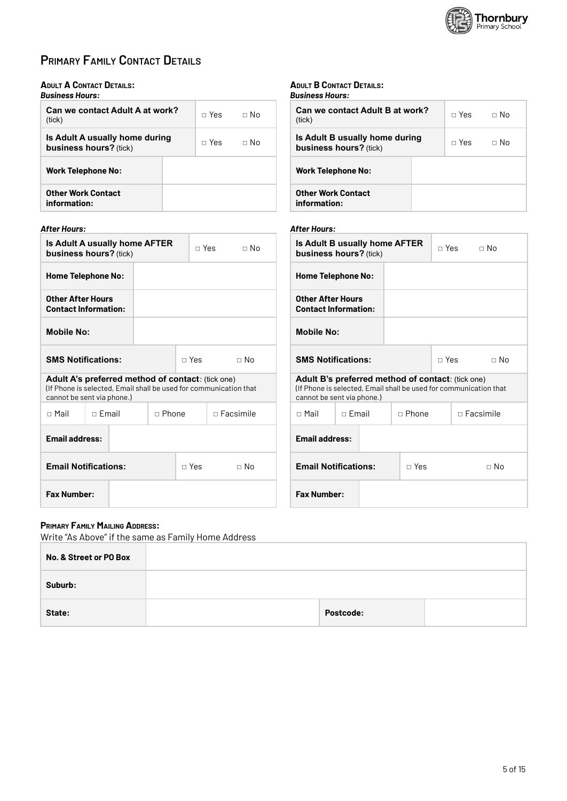

### **PRIMARY FAMILY CONTACT DETAILS**

### **ADULT A CONTACT DETAILS:**

| <b>Business Hours:</b>                                   |         |             |
|----------------------------------------------------------|---------|-------------|
| Can we contact Adult A at work?<br>(tick)                | ⊓ Yes l | $\Box$ No   |
| Is Adult A usually home during<br>business hours? (tick) | ⊓ Yes   | $\sqcap$ No |
| <b>Work Telephone No:</b>                                |         |             |
| Other Work Contact<br>information:                       |         |             |

### **After Hours:**

| Is Adult A usually home AFTER<br>business hours? (tick) |                                                                                        |              |            | $\Box$ No<br>⊓ Yes l                                              |  |  |
|---------------------------------------------------------|----------------------------------------------------------------------------------------|--------------|------------|-------------------------------------------------------------------|--|--|
| <b>Home Telephone No:</b>                               |                                                                                        |              |            |                                                                   |  |  |
| <b>Other After Hours</b>                                | <b>Contact Information:</b>                                                            |              |            |                                                                   |  |  |
| <b>Mobile No:</b>                                       |                                                                                        |              |            |                                                                   |  |  |
| <b>SMS Notifications:</b>                               |                                                                                        |              | ⊓ Yes      | $\Box$ No                                                         |  |  |
|                                                         | <b>Adult A's preferred method of contact: (tick one)</b><br>cannot be sent via phone.) |              |            | (If Phone is selected, Email shall be used for communication that |  |  |
| $\sqcap$ Mail                                           | $\sqcap$ Fmail                                                                         | $\Box$ Phone |            | $\Box$ Facsimile                                                  |  |  |
|                                                         | <b>Email address:</b>                                                                  |              |            |                                                                   |  |  |
|                                                         | <b>Email Notifications:</b>                                                            |              | $\Box$ Yes | $\Box$ No                                                         |  |  |
|                                                         | <b>Fax Number:</b>                                                                     |              |            |                                                                   |  |  |

#### **ADULT B CONTACT DETAILS:** Rusiness Hours:

| <b>Can we contact Adult B at work?</b><br>(tick)         | ⊓ Yes | $\Box$ No |
|----------------------------------------------------------|-------|-----------|
| Is Adult B usually home during<br>business hours? (tick) | ⊓ Yes | $\Box$ No |
| <b>Work Telephone No:</b>                                |       |           |
| <b>Other Work Contact</b><br>information:                |       |           |

### **After Hours:**

| <b>Is Adult B usually home AFTER</b><br>business hours? (tick) |                                                                                                                                                             |              | ⊓ Yes            | $\Box$ No |           |  |  |
|----------------------------------------------------------------|-------------------------------------------------------------------------------------------------------------------------------------------------------------|--------------|------------------|-----------|-----------|--|--|
| <b>Home Telephone No:</b>                                      |                                                                                                                                                             |              |                  |           |           |  |  |
| Other After Hours<br><b>Contact Information:</b>               |                                                                                                                                                             |              |                  |           |           |  |  |
| <b>Mobile No:</b>                                              |                                                                                                                                                             |              |                  |           |           |  |  |
| <b>SMS Notifications:</b>                                      |                                                                                                                                                             |              | $\Box$ Yes       |           | $\Box$ No |  |  |
|                                                                | <b>Adult B's preferred method of contact: (tick one)</b><br>(If Phone is selected, Email shall be used for communication that<br>cannot be sent via phone.) |              |                  |           |           |  |  |
| $\sqcap$ Mail                                                  | $\sqcap$ Fmail                                                                                                                                              | $\Box$ Phone | $\Box$ Eacsimile |           |           |  |  |
|                                                                | <b>Email address:</b>                                                                                                                                       |              |                  |           |           |  |  |
| <b>Email Notifications:</b>                                    |                                                                                                                                                             | $\Box$ Yes   |                  |           | ⊓ No      |  |  |
| <b>Fax Number:</b>                                             |                                                                                                                                                             |              |                  |           |           |  |  |

### **PRIMARY FAMILY MAILING ADDRESS:**

Write "As Above" if the same as Family Home Address

| No. & Street or PO Box |           |  |
|------------------------|-----------|--|
| Suburb:                |           |  |
| State:                 | Postcode: |  |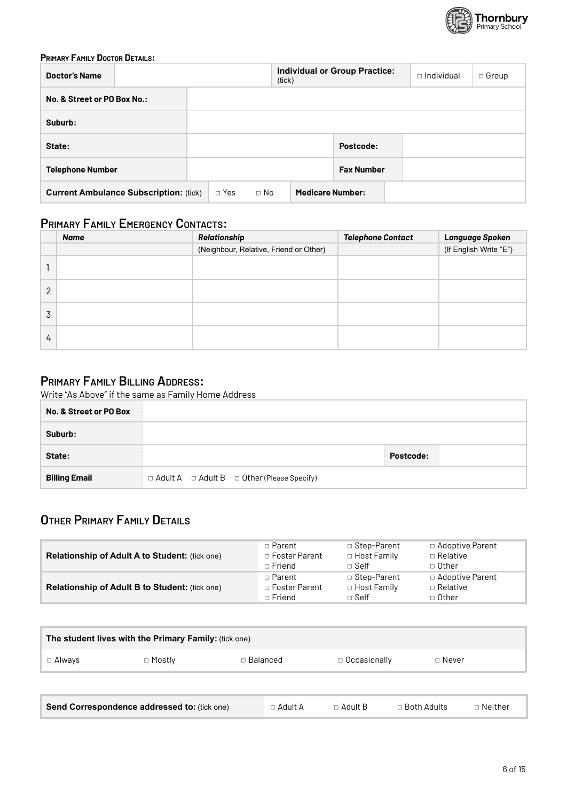

### **PRIMARY FAMILY DOCTOR DETAILS:**

| <b>Doctor's Name</b>                          | (tick)                  | <b>Individual or Group Practice:</b> | $\Box$ Individual<br>$\Box$ Group |
|-----------------------------------------------|-------------------------|--------------------------------------|-----------------------------------|
| No. & Street or PO Box No.:                   |                         |                                      |                                   |
| Suburb:                                       |                         |                                      |                                   |
| State:                                        |                         | Postcode:                            |                                   |
| <b>Telephone Number</b>                       |                         | <b>Fax Number</b>                    |                                   |
| <b>Current Ambulance Subscription: (tick)</b> | $\Box$ No<br>$\Box$ Yes | <b>Medicare Number:</b>              |                                   |

### **PRIMARY FAMILY EMERGENCY CONTACTS:**

|                | <b>Name</b> | Relationship                           | <b>Telephone Contact</b> | Language Spoken        |
|----------------|-------------|----------------------------------------|--------------------------|------------------------|
|                |             | (Neighbour, Relative, Friend or Other) |                          | (If English Write "E") |
|                |             |                                        |                          |                        |
| $\overline{2}$ |             |                                        |                          |                        |
| 3              |             |                                        |                          |                        |
| 4              |             |                                        |                          |                        |

### PRIMARY FAMILY BILLING ADDRESS:

Write "As Above" if the same as Family Home Address

| No. & Street or PO Box |                                                             |           |  |
|------------------------|-------------------------------------------------------------|-----------|--|
| Suburb:                |                                                             |           |  |
| State:                 |                                                             | Postcode: |  |
| <b>Billing Email</b>   | $\Box$ Adult A $\Box$ Adult B $\Box$ Other (Please Specify) |           |  |

### OTHER PRIMARY FAMILY DETAILS

| <b>Relationship of Adult A to Student: (tick one)</b> | □ Parent        | □ Step-Parent      | □ Adoptive Parent |
|-------------------------------------------------------|-----------------|--------------------|-------------------|
|                                                       | □ Foster Parent | $\Box$ Host Family | $\Box$ Relative   |
|                                                       | $\sqcap$ Friend | $\sqcap$ Self      | □ Other           |
| <b>Relationship of Adult B to Student: (tick one)</b> | □ Parent        | □ Step-Parent      | □ Adoptive Parent |
|                                                       | □ Foster Parent | □ Host Family      | □ Relative        |
|                                                       | $\Box$ Friend   | $\Box$ Self        | □ Other           |

| The student lives with the Primary Family: (tick one) |          |            |                                  |                    |                |  |  |  |
|-------------------------------------------------------|----------|------------|----------------------------------|--------------------|----------------|--|--|--|
| □ Always                                              | □ Mostly | □ Balanced | $\Box$ Occasionally              | $\Box$ Never       |                |  |  |  |
|                                                       |          |            |                                  |                    |                |  |  |  |
| Send Correspondence addressed to: (tick one)          |          |            | $\Box$ Adult A<br>$\Box$ Adult B | $\Box$ Both Adults | $\Box$ Neither |  |  |  |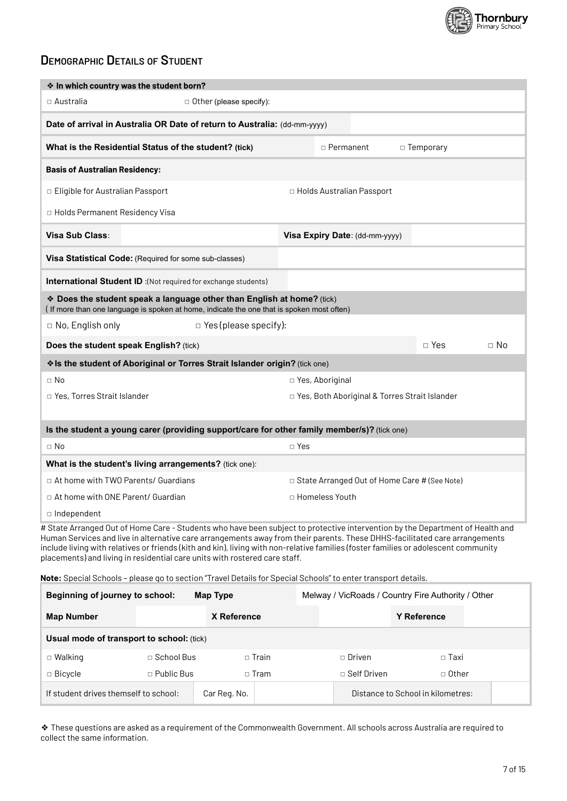

### **DEMOGRAPHIC DETAILS OF STUDENT**

| * In which country was the student born?                                                                                                                            |              |                                |       |                                                                                                                                                                                                                                                                                                                                                                                                    |  |  |  |
|---------------------------------------------------------------------------------------------------------------------------------------------------------------------|--------------|--------------------------------|-------|----------------------------------------------------------------------------------------------------------------------------------------------------------------------------------------------------------------------------------------------------------------------------------------------------------------------------------------------------------------------------------------------------|--|--|--|
| $\square$ Australia                                                                                                                                                 |              | $\Box$ Other (please specify): |       |                                                                                                                                                                                                                                                                                                                                                                                                    |  |  |  |
| Date of arrival in Australia OR Date of return to Australia: (dd-mm-yyyy)                                                                                           |              |                                |       |                                                                                                                                                                                                                                                                                                                                                                                                    |  |  |  |
| What is the Residential Status of the student? (tick)                                                                                                               |              |                                |       | □ Permanent<br>□ Temporary                                                                                                                                                                                                                                                                                                                                                                         |  |  |  |
| <b>Basis of Australian Residency:</b>                                                                                                                               |              |                                |       |                                                                                                                                                                                                                                                                                                                                                                                                    |  |  |  |
| □ Eligible for Australian Passport                                                                                                                                  |              |                                |       | □ Holds Australian Passport                                                                                                                                                                                                                                                                                                                                                                        |  |  |  |
| □ Holds Permanent Residency Visa                                                                                                                                    |              |                                |       |                                                                                                                                                                                                                                                                                                                                                                                                    |  |  |  |
| Visa Sub Class:                                                                                                                                                     |              |                                |       | Visa Expiry Date: (dd-mm-yyyy)                                                                                                                                                                                                                                                                                                                                                                     |  |  |  |
| Visa Statistical Code: (Required for some sub-classes)                                                                                                              |              |                                |       |                                                                                                                                                                                                                                                                                                                                                                                                    |  |  |  |
| <b>International Student ID:</b> (Not required for exchange students)                                                                                               |              |                                |       |                                                                                                                                                                                                                                                                                                                                                                                                    |  |  |  |
| * Does the student speak a language other than English at home? (tick)<br>(If more than one language is spoken at home, indicate the one that is spoken most often) |              |                                |       |                                                                                                                                                                                                                                                                                                                                                                                                    |  |  |  |
| $\Box$ No, English only                                                                                                                                             |              | $\Box$ Yes (please specify):   |       |                                                                                                                                                                                                                                                                                                                                                                                                    |  |  |  |
| $\Box$ Yes<br>$\Box$ No<br>Does the student speak English? (tick)                                                                                                   |              |                                |       |                                                                                                                                                                                                                                                                                                                                                                                                    |  |  |  |
| Is the student of Aboriginal or Torres Strait Islander origin? (tick one)                                                                                           |              |                                |       |                                                                                                                                                                                                                                                                                                                                                                                                    |  |  |  |
| $\Box$ No<br>□ Yes, Aboriginal                                                                                                                                      |              |                                |       |                                                                                                                                                                                                                                                                                                                                                                                                    |  |  |  |
| □ Yes, Torres Strait Islander                                                                                                                                       |              |                                |       | □ Yes, Both Aboriginal & Torres Strait Islander                                                                                                                                                                                                                                                                                                                                                    |  |  |  |
|                                                                                                                                                                     |              |                                |       |                                                                                                                                                                                                                                                                                                                                                                                                    |  |  |  |
|                                                                                                                                                                     |              |                                |       | Is the student a young carer (providing support/care for other family member/s)? (tick one)                                                                                                                                                                                                                                                                                                        |  |  |  |
| $\Box$ No                                                                                                                                                           |              |                                | □ Yes |                                                                                                                                                                                                                                                                                                                                                                                                    |  |  |  |
| What is the student's living arrangements? (tick one):                                                                                                              |              |                                |       |                                                                                                                                                                                                                                                                                                                                                                                                    |  |  |  |
| □ At home with TWO Parents/ Guardians                                                                                                                               |              |                                |       | □ State Arranged Out of Home Care # (See Note)                                                                                                                                                                                                                                                                                                                                                     |  |  |  |
| □ At home with ONE Parent/ Guardian                                                                                                                                 |              |                                |       | □ Homeless Youth                                                                                                                                                                                                                                                                                                                                                                                   |  |  |  |
| □ Independent                                                                                                                                                       |              |                                |       |                                                                                                                                                                                                                                                                                                                                                                                                    |  |  |  |
| placements) and living in residential care units with rostered care staff.                                                                                          |              |                                |       | # State Arranged Out of Home Care - Students who have been subject to protective intervention by the Department of Health and<br>Human Services and live in alternative care arrangements away from their parents. These DHHS-facilitated care arrangements<br>include living with relatives or friends (kith and kin), living with non-relative families (foster families or adolescent community |  |  |  |
|                                                                                                                                                                     |              |                                |       | Note: Special Schools - please go to section "Travel Details for Special Schools" to enter transport details.                                                                                                                                                                                                                                                                                      |  |  |  |
| Beginning of journey to school:                                                                                                                                     |              | <b>Map Type</b>                |       | Melway / VicRoads / Country Fire Authority / Other                                                                                                                                                                                                                                                                                                                                                 |  |  |  |
| <b>Map Number</b>                                                                                                                                                   |              | X Reference                    |       | <b>Y Reference</b>                                                                                                                                                                                                                                                                                                                                                                                 |  |  |  |
| Usual mode of transport to school: (tick)                                                                                                                           |              |                                |       |                                                                                                                                                                                                                                                                                                                                                                                                    |  |  |  |
| $\Box$ Walking                                                                                                                                                      | □ School Bus | $\Box$ Train                   |       | $\Box$ Driven<br>$\Box$ Taxi                                                                                                                                                                                                                                                                                                                                                                       |  |  |  |
| □ Bicycle                                                                                                                                                           | □ Public Bus | $\square$ Tram                 |       | □ Self Driven<br>□ Other                                                                                                                                                                                                                                                                                                                                                                           |  |  |  |
| If student drives themself to school:                                                                                                                               |              | Car Reg. No.                   |       | Distance to School in kilometres:                                                                                                                                                                                                                                                                                                                                                                  |  |  |  |

\* These questions are asked as a requirement of the Commonwealth Government. All schools across Australia are required to collect the same information.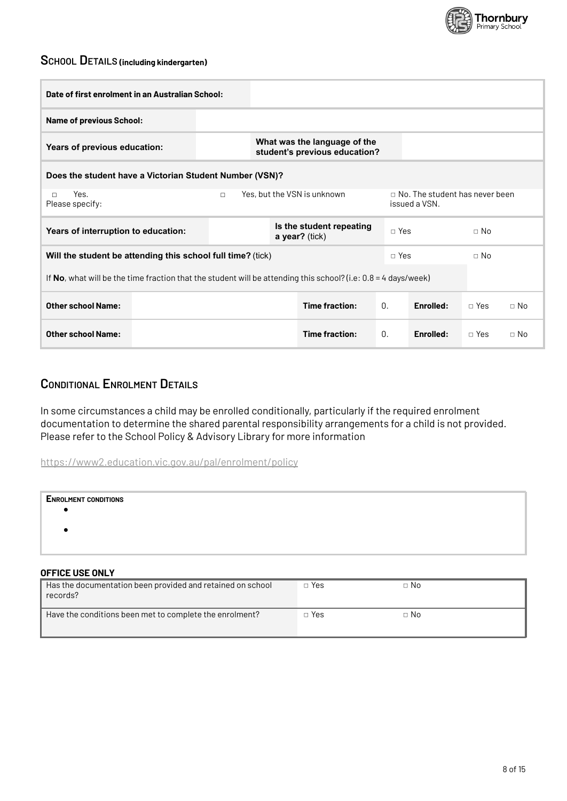

## SCHOOL DETAILS (including kindergarten)

| Date of first enrolment in an Australian School:                                                               |        |                                                               |  |                |            |                                                        |            |           |
|----------------------------------------------------------------------------------------------------------------|--------|---------------------------------------------------------------|--|----------------|------------|--------------------------------------------------------|------------|-----------|
| <b>Name of previous School:</b>                                                                                |        |                                                               |  |                |            |                                                        |            |           |
| Years of previous education:                                                                                   |        | What was the language of the<br>student's previous education? |  |                |            |                                                        |            |           |
| Does the student have a Victorian Student Number (VSN)?                                                        |        |                                                               |  |                |            |                                                        |            |           |
| Yes.<br>$\Box$<br>Please specify:                                                                              | $\Box$ | Yes, but the VSN is unknown                                   |  |                |            | $\Box$ No. The student has never been<br>issued a VSN. |            |           |
| Years of interruption to education:                                                                            |        | Is the student repeating<br>a year? (tick)                    |  |                | $\Box$ Yes |                                                        |            |           |
| Will the student be attending this school full time? (tick)                                                    |        |                                                               |  |                | $\Box$ Yes |                                                        | $\Box$ No  |           |
| If No, what will be the time fraction that the student will be attending this school? (i.e: 0.8 = 4 days/week) |        |                                                               |  |                |            |                                                        |            |           |
| <b>Other school Name:</b>                                                                                      |        | Time fraction:                                                |  | $\Omega$ .     | Enrolled:  | $\Box$ Yes                                             | $\Box$ No  |           |
| <b>Other school Name:</b>                                                                                      |        |                                                               |  | Time fraction: | 0.         | <b>Fnrolled:</b>                                       | $\Box$ Yes | $\Box$ No |

### **CONDITIONAL ENROLMENT DETAILS**

In some circumstances a child may be enrolled conditionally, particularly if the required enrolment documentation to determine the shared parental responsibility arrangements for a child is not provided. Please refer to the School Policy & Advisory Library for more information

https://www2.education.vic.gov.au/pal/enrolment/policy

| <b>ENROLMENT CONDITIONS</b> |  |  |
|-----------------------------|--|--|
|                             |  |  |
|                             |  |  |
|                             |  |  |
| <b>OFFICE USE ONLY</b>      |  |  |

| Has the documentation been provided and retained on school<br>records? | $\Box$ Yes | $\Box$ No |
|------------------------------------------------------------------------|------------|-----------|
| Have the conditions been met to complete the enrolment?                | $\Box$ Yes | $\Box$ No |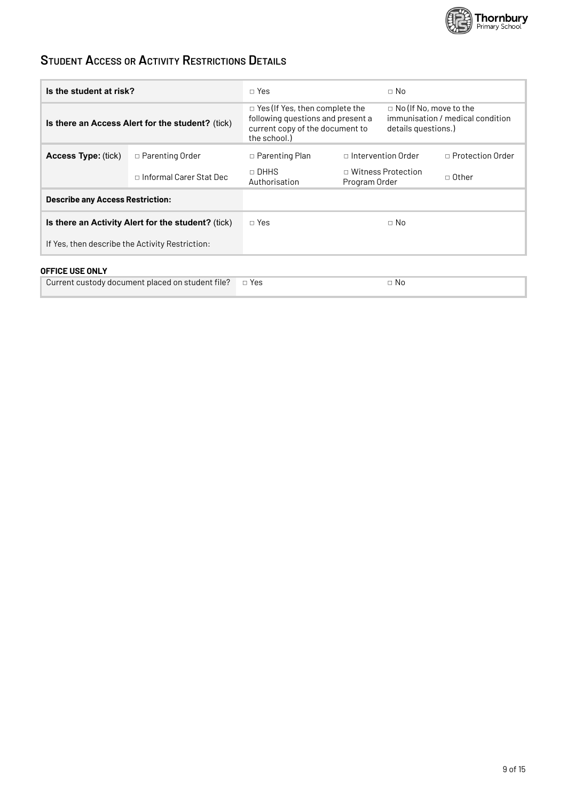

### **STUDENT ACCESS OR ACTIVITY RESTRICTIONS DETAILS**

| Is the student at risk?                            |                           | $\Box$ Yes                                                                                                                    |               | $\Box$ No                                                                                |                         |  |
|----------------------------------------------------|---------------------------|-------------------------------------------------------------------------------------------------------------------------------|---------------|------------------------------------------------------------------------------------------|-------------------------|--|
| Is there an Access Alert for the student? (tick)   |                           | $\Box$ Yes (If Yes, then complete the<br>following questions and present a<br>current copy of the document to<br>the school.) |               | $\Box$ No (If No, move to the<br>immunisation / medical condition<br>details questions.) |                         |  |
| <b>Access Type: (tick)</b>                         | □ Parenting Order         | □ Parenting Plan                                                                                                              |               | $\Box$ Intervention Order                                                                | $\Box$ Protection Order |  |
|                                                    | □ Informal Carer Stat Dec | □ DHHS<br>Authorisation                                                                                                       | Program Order | □ Witness Protection                                                                     | □ Other                 |  |
| <b>Describe any Access Restriction:</b>            |                           |                                                                                                                               |               |                                                                                          |                         |  |
| Is there an Activity Alert for the student? (tick) |                           | $\Box$ Yes                                                                                                                    |               | $\Box$ No                                                                                |                         |  |
| If Yes, then describe the Activity Restriction:    |                           |                                                                                                                               |               |                                                                                          |                         |  |
|                                                    |                           |                                                                                                                               |               |                                                                                          |                         |  |

### **OFFICE USE ONLY**

| Current custody document placed on student file? $\Box$ Yes |  | Nc. |
|-------------------------------------------------------------|--|-----|
|-------------------------------------------------------------|--|-----|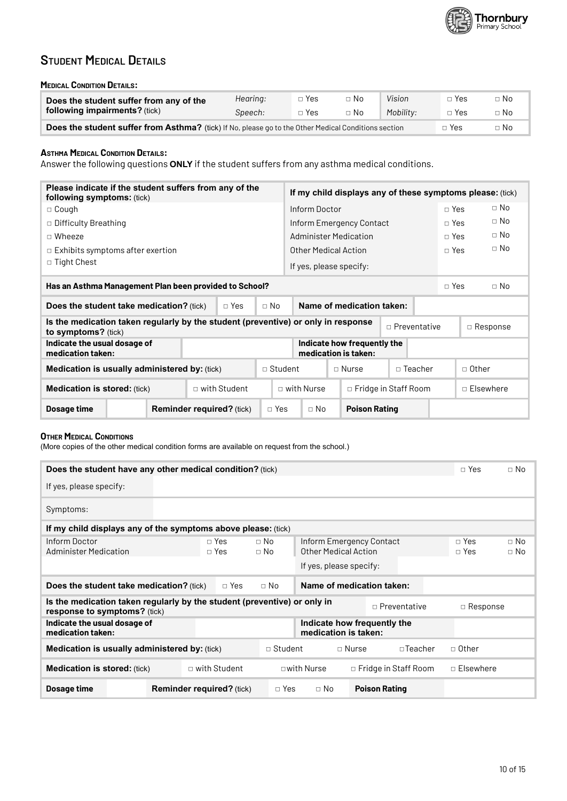

### **STUDENT MEDICAL DETAILS**

#### **MEDICAL CONDITION DETAILS:**

| Does the student suffer from any of the                                                              | Hearing: | ⊓ Yes            | □ No | Vision    | □ Yes      | $\Box$ No |
|------------------------------------------------------------------------------------------------------|----------|------------------|------|-----------|------------|-----------|
| following impairments? (tick)                                                                        | Speech:  | $\Box$ Yes       | י No | Mobility: | $\Box$ Yes | $\Box$ No |
| Does the student suffer from Asthma? (tick) If No, please go to the Other Medical Conditions section | □ Yes    | $\neg$ No $\neg$ |      |           |            |           |

### **ASTHMA MEDICAL CONDITION DETAILS:**

Answer the following questions ONLY if the student suffers from any asthma medical conditions.

| Please indicate if the student suffers from any of the<br><b>following symptoms:</b> (tick)              |                                  |                | If my child displays any of these symptoms please: (tick) |                                                     |                      |                  |            |           |                 |
|----------------------------------------------------------------------------------------------------------|----------------------------------|----------------|-----------------------------------------------------------|-----------------------------------------------------|----------------------|------------------|------------|-----------|-----------------|
| $\Box$ Cough                                                                                             |                                  |                | Inform Doctor                                             |                                                     |                      |                  | $\Box$ Yes |           | $\Box$ No       |
| □ Difficulty Breathing                                                                                   |                                  |                | Inform Emergency Contact                                  |                                                     |                      | □ Yes            |            | $\Box$ No |                 |
| $\Box$ Wheeze                                                                                            |                                  |                | Administer Medication                                     |                                                     |                      | $\Box$ Yes       |            | $\Box$ No |                 |
| $\Box$ Exhibits symptoms after exertion                                                                  |                                  |                |                                                           | Other Medical Action                                |                      |                  | $\Box$ Yes |           | $\Box$ No       |
| $\Box$ Tight Chest                                                                                       |                                  |                |                                                           | If yes, please specify:                             |                      |                  |            |           |                 |
| Has an Asthma Management Plan been provided to School?                                                   |                                  |                |                                                           |                                                     |                      |                  | $\Box$ Yes |           | $\Box$ No       |
| <b>Does the student take medication?</b> (tick)<br>$\Box$ Yes<br>$\Box$ No                               |                                  |                |                                                           | Name of medication taken:                           |                      |                  |            |           |                 |
| Is the medication taken regularly by the student (preventive) or only in response<br>to symptoms? (tick) |                                  |                |                                                           |                                                     | $\Box$ Preventative  |                  |            |           | $\Box$ Response |
| Indicate the usual dosage of<br>medication taken:                                                        |                                  |                |                                                           | Indicate how frequently the<br>medication is taken: |                      |                  |            |           |                 |
| <b>Medication is usually administered by: (tick)</b>                                                     |                                  | $\Box$ Student | $\Box$ Nurse<br>$\Box$ Teacher                            |                                                     |                      | $\Box$ Other     |            |           |                 |
| □ with Student<br><b>Medication is stored: (tick)</b>                                                    |                                  |                | $\Box$ with Nurse<br>$\Box$ Fridge in Staff Room          |                                                     |                      | $\Box$ Fisewhere |            |           |                 |
| Dosage time                                                                                              | <b>Reminder required?</b> (tick) | $\Box$ Yes     | $\Box$ No                                                 |                                                     | <b>Poison Rating</b> |                  |            |           |                 |

### **OTHER MEDICAL CONDITIONS**

(More copies of the other medical condition forms are available on request from the school.)

| Does the student have any other medical condition? (tick)                                                       |                                  |                        |                                                  |              |                             | $\Box$ Yes               | $\Box$ No              |
|-----------------------------------------------------------------------------------------------------------------|----------------------------------|------------------------|--------------------------------------------------|--------------|-----------------------------|--------------------------|------------------------|
| If yes, please specify:                                                                                         |                                  |                        |                                                  |              |                             |                          |                        |
| Symptoms:                                                                                                       |                                  |                        |                                                  |              |                             |                          |                        |
| If my child displays any of the symptoms above please: (tick)                                                   |                                  |                        |                                                  |              |                             |                          |                        |
| Inform Doctor<br><b>Administer Medication</b>                                                                   | $\Box$ Yes<br>$\Box$ Yes         | $\Box$ No<br>$\Box$ No | Inform Emergency Contact<br>Other Medical Action |              |                             | $\Box$ Yes<br>$\Box$ Yes | $\Box$ No<br>$\Box$ No |
|                                                                                                                 |                                  |                        | If yes, please specify:                          |              |                             |                          |                        |
| <b>Does the student take medication?</b> (tick)                                                                 | $\Box$ Yes                       | $\Box$ No              | Name of medication taken:                        |              |                             |                          |                        |
| Is the medication taken regularly by the student (preventive) or only in<br><b>response to symptoms?</b> (tick) |                                  |                        |                                                  |              | $\Box$ Preventative         | $\Box$ Response          |                        |
| Indicate the usual dosage of<br>medication taken:                                                               |                                  |                        | medication is taken:                             |              | Indicate how frequently the |                          |                        |
| Medication is usually administered by: (tick)                                                                   |                                  | $\Box$ Student         |                                                  | $\Box$ Nurse | $\Box$ Teacher              | □ 0ther                  |                        |
| <b>Medication is stored: (tick)</b>                                                                             | $\Box$ with Student              |                        | $\square$ with Nurse                             |              | $\Box$ Fridge in Staff Room | $\Box$ Elsewhere         |                        |
| Dosage time                                                                                                     | <b>Reminder required?</b> (tick) | $\Box$ Yes             | $\Box$ No                                        |              | <b>Poison Rating</b>        |                          |                        |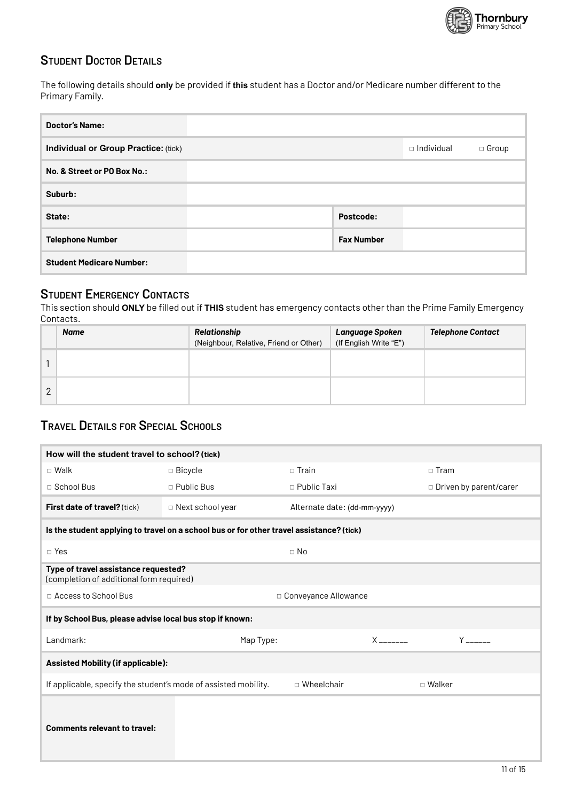

### **STUDENT DOCTOR DETAILS**

The following details should only be provided if this student has a Doctor and/or Medicare number different to the Primary Family.

| <b>Doctor's Name:</b>                |                   |                   |              |
|--------------------------------------|-------------------|-------------------|--------------|
| Individual or Group Practice: (tick) |                   | $\Box$ Individual | $\Box$ Group |
| No. & Street or PO Box No.:          |                   |                   |              |
| Suburb:                              |                   |                   |              |
| State:                               | Postcode:         |                   |              |
| <b>Telephone Number</b>              | <b>Fax Number</b> |                   |              |
| <b>Student Medicare Number:</b>      |                   |                   |              |

### **STUDENT EMERGENCY CONTACTS**

This section should ONLY be filled out if THIS student has emergency contacts other than the Prime Family Emergency Contacts.

|   | Name | Relationship<br>(Neighbour, Relative, Friend or Other) | Language Spoken<br>(If English Write "E") | <b>Telephone Contact</b> |
|---|------|--------------------------------------------------------|-------------------------------------------|--------------------------|
|   |      |                                                        |                                           |                          |
| ∩ |      |                                                        |                                           |                          |

### **TRAVEL DETAILS FOR SPECIAL SCHOOLS**

| How will the student travel to school? (tick)                                    |                                                                                          |                              |                                                                                                                                                                                                                                     |
|----------------------------------------------------------------------------------|------------------------------------------------------------------------------------------|------------------------------|-------------------------------------------------------------------------------------------------------------------------------------------------------------------------------------------------------------------------------------|
| $\square$ Walk                                                                   | □ Bicycle                                                                                | $\Box$ Train                 | $\square$ Tram                                                                                                                                                                                                                      |
| $\Box$ School Bus                                                                | $\Box$ Public Bus                                                                        | $\Box$ Public Taxi           | □ Driven by parent/carer                                                                                                                                                                                                            |
| First date of travel? (tick)                                                     | □ Next school year                                                                       | Alternate date: (dd-mm-yyyy) |                                                                                                                                                                                                                                     |
|                                                                                  | Is the student applying to travel on a school bus or for other travel assistance? (tick) |                              |                                                                                                                                                                                                                                     |
| $\Box$ Yes                                                                       |                                                                                          | $\Box$ No                    |                                                                                                                                                                                                                                     |
| Type of travel assistance requested?<br>(completion of additional form required) |                                                                                          |                              |                                                                                                                                                                                                                                     |
| □ Access to School Bus                                                           |                                                                                          | □ Conveyance Allowance       |                                                                                                                                                                                                                                     |
| If by School Bus, please advise local bus stop if known:                         |                                                                                          |                              |                                                                                                                                                                                                                                     |
| Landmark:                                                                        | Map Type:                                                                                | $X$ ________                 | <b>Y</b> and the set of the set of the set of the set of the set of the set of the set of the set of the set of the set of the set of the set of the set of the set of the set of the set of the set of the set of the set of the s |
| <b>Assisted Mobility (if applicable):</b>                                        |                                                                                          |                              |                                                                                                                                                                                                                                     |
| If applicable, specify the student's mode of assisted mobility.                  |                                                                                          | □ Wheelchair                 | □ Walker                                                                                                                                                                                                                            |
| <b>Comments relevant to travel:</b>                                              |                                                                                          |                              |                                                                                                                                                                                                                                     |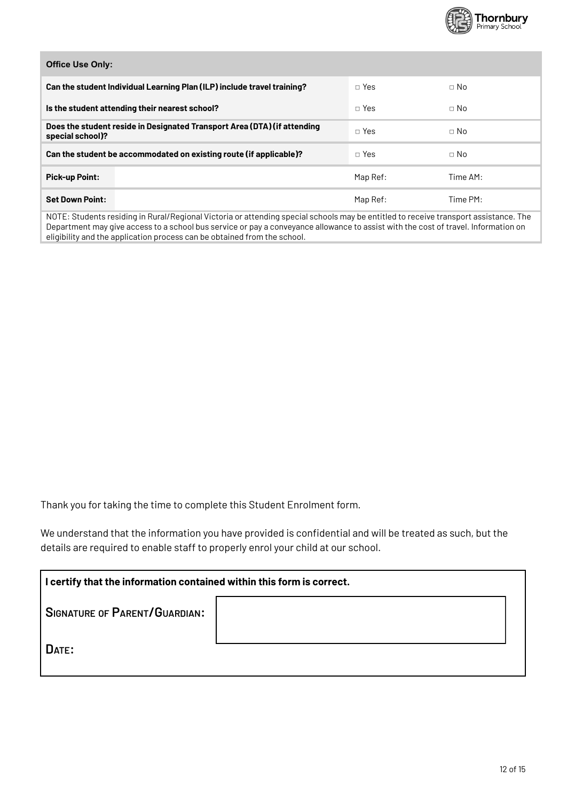

 $\Box$  No

| <b>Office Use Only:</b>                                                 |
|-------------------------------------------------------------------------|
| Can the student Individual Learning Plan (ILP) include travel training? |
|                                                                         |

| Is the student attending their nearest school?                                               | $\Box$ Yes | $\Box$ No |  |
|----------------------------------------------------------------------------------------------|------------|-----------|--|
| Does the student reside in Designated Transport Area (DTA) (if attending<br>special school)? | $\Box$ Yes | $\Box$ No |  |
| Can the student be accommodated on existing route (if applicable)?                           | $\Box$ Yes | $\Box$ No |  |
| <b>Pick-up Point:</b>                                                                        | Map Ref:   | Time AM:  |  |
| <b>Set Down Point:</b>                                                                       | Map Ref:   | Time PM:  |  |

□ Yes

NOTE: Students residing in Rural/Regional Victoria or attending special schools may be entitled to receive transport assistance. The Department may give access to a school bus service or pay a conveyance allowance to assist with the cost of travel. Information on eligibility and the application process can be obtained from the school.

Thank you for taking the time to complete this Student Enrolment form.

We understand that the information you have provided is confidential and will be treated as such, but the details are required to enable staff to properly enrol your child at our school.

| I certify that the information contained within this form is correct. |  |  |  |
|-----------------------------------------------------------------------|--|--|--|
| <b>SIGNATURE OF PARENT/GUARDIAN:</b>                                  |  |  |  |
| DATE:                                                                 |  |  |  |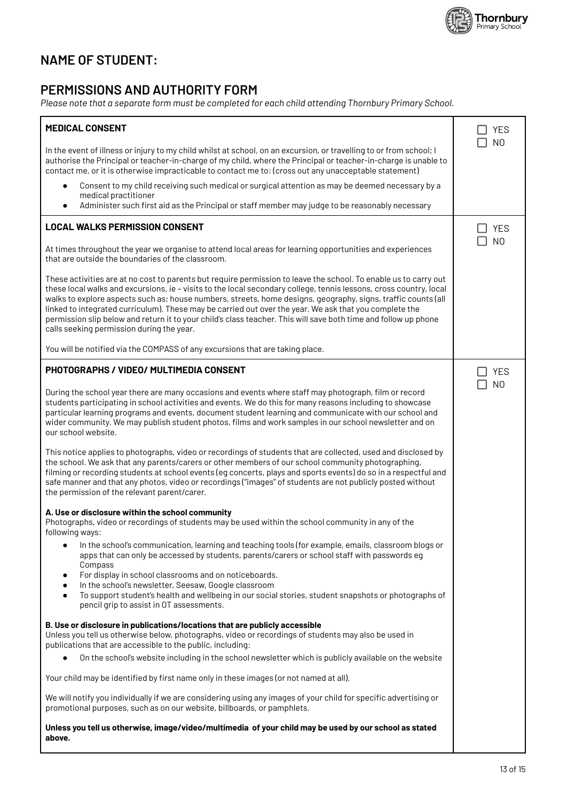

### **NAME OF STUDENT:**

### PERMISSIONS AND AUTHORITY FORM

Please note that a separate form must be completed for each child attending Thornbury Primary School.

| <b>MEDICAL CONSENT</b>                                                                                                                                                                                                                                                                                                                                                                                                                                                                                                                                                                                                            | <b>YES</b>     |
|-----------------------------------------------------------------------------------------------------------------------------------------------------------------------------------------------------------------------------------------------------------------------------------------------------------------------------------------------------------------------------------------------------------------------------------------------------------------------------------------------------------------------------------------------------------------------------------------------------------------------------------|----------------|
| In the event of illness or injury to my child whilst at school, on an excursion, or travelling to or from school; I<br>authorise the Principal or teacher-in-charge of my child, where the Principal or teacher-in-charge is unable to<br>contact me, or it is otherwise impracticable to contact me to: (cross out any unacceptable statement)                                                                                                                                                                                                                                                                                   | N <sub>O</sub> |
| Consent to my child receiving such medical or surgical attention as may be deemed necessary by a<br>$\bullet$<br>medical practitioner<br>Administer such first aid as the Principal or staff member may judge to be reasonably necessary<br>$\bullet$                                                                                                                                                                                                                                                                                                                                                                             |                |
| <b>LOCAL WALKS PERMISSION CONSENT</b>                                                                                                                                                                                                                                                                                                                                                                                                                                                                                                                                                                                             | <b>YES</b>     |
| At times throughout the year we organise to attend local areas for learning opportunities and experiences<br>that are outside the boundaries of the classroom.                                                                                                                                                                                                                                                                                                                                                                                                                                                                    | N <sub>O</sub> |
| These activities are at no cost to parents but require permission to leave the school. To enable us to carry out<br>these local walks and excursions, ie - visits to the local secondary college, tennis lessons, cross country, local<br>walks to explore aspects such as; house numbers, streets, home designs, geography, signs, traffic counts (all<br>linked to integrated curriculum). These may be carried out over the year. We ask that you complete the<br>permission slip below and return it to your child's class teacher. This will save both time and follow up phone<br>calls seeking permission during the year. |                |
| You will be notified via the COMPASS of any excursions that are taking place.                                                                                                                                                                                                                                                                                                                                                                                                                                                                                                                                                     |                |
| PHOTOGRAPHS / VIDEO/ MULTIMEDIA CONSENT                                                                                                                                                                                                                                                                                                                                                                                                                                                                                                                                                                                           | <b>YES</b>     |
| During the school year there are many occasions and events where staff may photograph, film or record<br>students participating in school activities and events. We do this for many reasons including to showcase<br>particular learning programs and events, document student learning and communicate with our school and<br>wider community. We may publish student photos, films and work samples in our school newsletter and on<br>our school website.                                                                                                                                                                     | N <sub>O</sub> |
| This notice applies to photographs, video or recordings of students that are collected, used and disclosed by<br>the school. We ask that any parents/carers or other members of our school community photographing,<br>filming or recording students at school events (eg concerts, plays and sports events) do so in a respectful and<br>safe manner and that any photos, video or recordings ("images" of students are not publicly posted without<br>the permission of the relevant parent/carer.                                                                                                                              |                |
| A. Use or disclosure within the school community<br>Photographs, video or recordings of students may be used within the school community in any of the<br>following ways:                                                                                                                                                                                                                                                                                                                                                                                                                                                         |                |
| In the school's communication, learning and teaching tools (for example, emails, classroom blogs or<br>٠<br>apps that can only be accessed by students, parents/carers or school staff with passwords eq<br>Compass<br>For display in school classrooms and on noticeboards.<br>٠<br>In the school's newsletter, Seesaw, Google classroom<br>$\bullet$<br>To support student's health and wellbeing in our social stories, student snapshots or photographs of<br>$\bullet$<br>pencil grip to assist in OT assessments.                                                                                                           |                |
| B. Use or disclosure in publications/locations that are publicly accessible<br>Unless you tell us otherwise below, photographs, video or recordings of students may also be used in<br>publications that are accessible to the public, including:                                                                                                                                                                                                                                                                                                                                                                                 |                |
| On the school's website including in the school newsletter which is publicly available on the website                                                                                                                                                                                                                                                                                                                                                                                                                                                                                                                             |                |
| Your child may be identified by first name only in these images (or not named at all).                                                                                                                                                                                                                                                                                                                                                                                                                                                                                                                                            |                |
| We will notify you individually if we are considering using any images of your child for specific advertising or<br>promotional purposes, such as on our website, billboards, or pamphlets.                                                                                                                                                                                                                                                                                                                                                                                                                                       |                |
| Unless you tell us otherwise, image/video/multimedia of your child may be used by our school as stated<br>above.                                                                                                                                                                                                                                                                                                                                                                                                                                                                                                                  |                |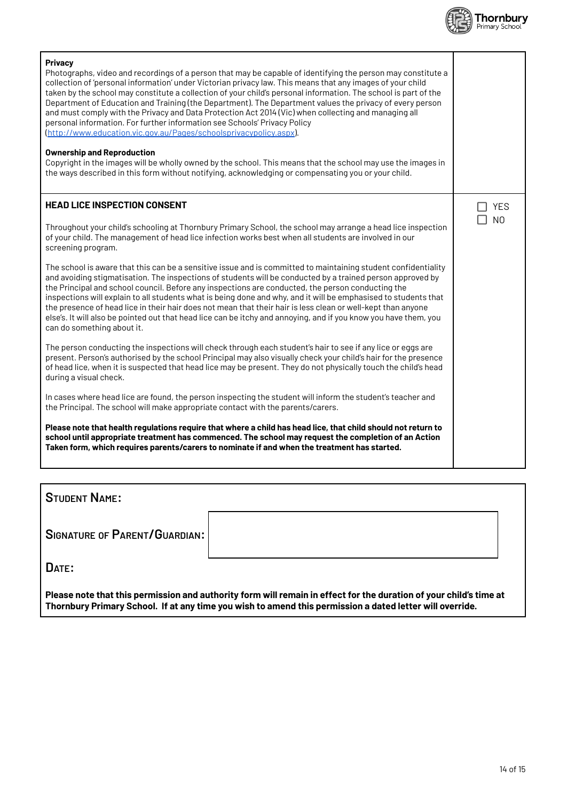

| Privacy<br>Photographs, video and recordings of a person that may be capable of identifying the person may constitute a<br>collection of 'personal information' under Victorian privacy law. This means that any images of your child<br>taken by the school may constitute a collection of your child's personal information. The school is part of the<br>Department of Education and Training (the Department). The Department values the privacy of every person<br>and must comply with the Privacy and Data Protection Act 2014 (Vic) when collecting and managing all<br>personal information. For further information see Schools' Privacy Policy<br>(http://www.education.vic.gov.au/Pages/schoolsprivacypolicy.aspx). |                |
|---------------------------------------------------------------------------------------------------------------------------------------------------------------------------------------------------------------------------------------------------------------------------------------------------------------------------------------------------------------------------------------------------------------------------------------------------------------------------------------------------------------------------------------------------------------------------------------------------------------------------------------------------------------------------------------------------------------------------------|----------------|
| <b>Ownership and Reproduction</b><br>Copyright in the images will be wholly owned by the school. This means that the school may use the images in<br>the ways described in this form without notifying, acknowledging or compensating you or your child.                                                                                                                                                                                                                                                                                                                                                                                                                                                                        |                |
| <b>HEAD LICE INSPECTION CONSENT</b>                                                                                                                                                                                                                                                                                                                                                                                                                                                                                                                                                                                                                                                                                             | <b>YES</b>     |
| Throughout your child's schooling at Thornbury Primary School, the school may arrange a head lice inspection<br>of your child. The management of head lice infection works best when all students are involved in our<br>screening program.                                                                                                                                                                                                                                                                                                                                                                                                                                                                                     | N <sub>O</sub> |
| The school is aware that this can be a sensitive issue and is committed to maintaining student confidentiality<br>and avoiding stigmatisation. The inspections of students will be conducted by a trained person approved by<br>the Principal and school council. Before any inspections are conducted, the person conducting the<br>inspections will explain to all students what is being done and why, and it will be emphasised to students that<br>the presence of head lice in their hair does not mean that their hair is less clean or well-kept than anyone<br>else's. It will also be pointed out that head lice can be itchy and annoying, and if you know you have them, you<br>can do something about it.          |                |
| The person conducting the inspections will check through each student's hair to see if any lice or eggs are<br>present. Person's authorised by the school Principal may also visually check your child's hair for the presence<br>of head lice, when it is suspected that head lice may be present. They do not physically touch the child's head<br>during a visual check.                                                                                                                                                                                                                                                                                                                                                     |                |
| In cases where head lice are found, the person inspecting the student will inform the student's teacher and<br>the Principal. The school will make appropriate contact with the parents/carers.                                                                                                                                                                                                                                                                                                                                                                                                                                                                                                                                 |                |
| Please note that health regulations require that where a child has head lice, that child should not return to<br>school until appropriate treatment has commenced. The school may request the completion of an Action<br>Taken form, which requires parents/carers to nominate if and when the treatment has started.                                                                                                                                                                                                                                                                                                                                                                                                           |                |

**STUDENT NAME:** 

**SIGNATURE OF PARENT/GUARDIAN:** 

DATE:

Please note that this permission and authority form will remain in effect for the duration of your child's time at<br>Thornbury Primary School. If at any time you wish to amend this permission a dated letter will override.